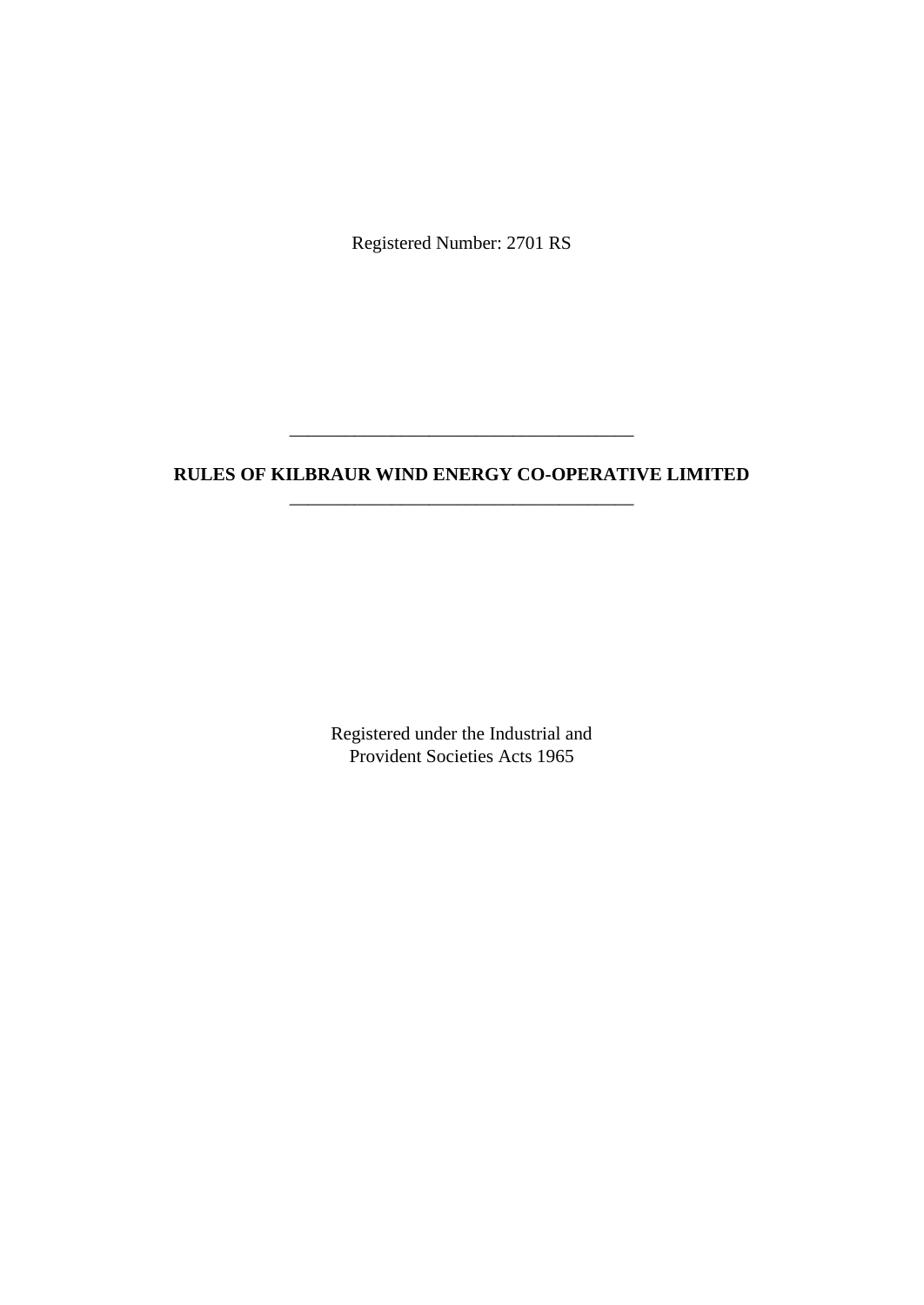Registered Number: 2701 RS

# **RULES OF KILBRAUR WIND ENERGY CO-OPERATIVE LIMITED**  \_\_\_\_\_\_\_\_\_\_\_\_\_\_\_\_\_\_\_\_\_\_\_\_\_\_\_\_\_\_\_\_\_\_\_\_\_

\_\_\_\_\_\_\_\_\_\_\_\_\_\_\_\_\_\_\_\_\_\_\_\_\_\_\_\_\_\_\_\_\_\_\_\_\_

Registered under the Industrial and Provident Societies Acts 1965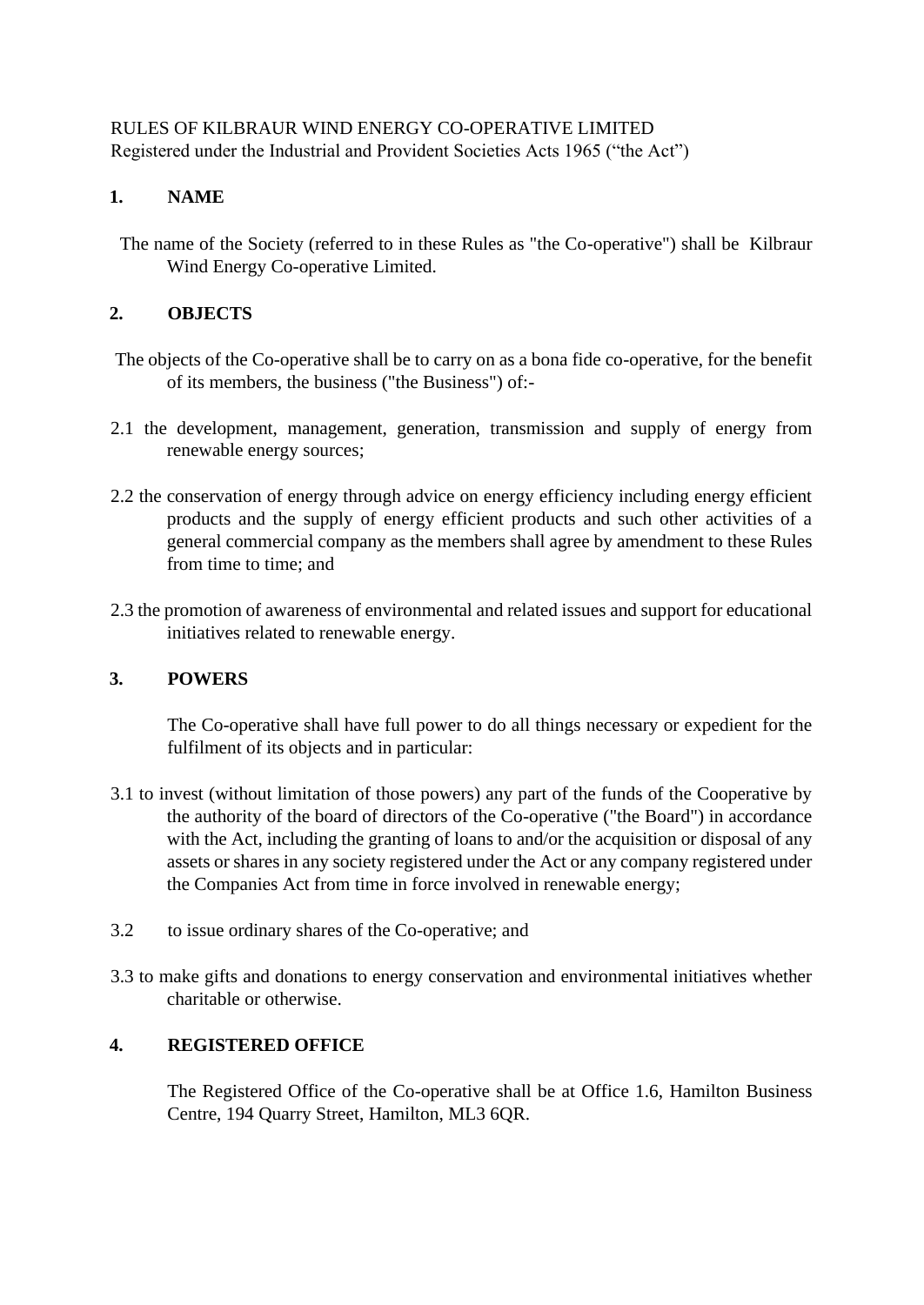# RULES OF KILBRAUR WIND ENERGY CO-OPERATIVE LIMITED

Registered under the Industrial and Provident Societies Acts 1965 ("the Act")

### **1. NAME**

 The name of the Society (referred to in these Rules as "the Co-operative") shall be Kilbraur Wind Energy Co-operative Limited.

## **2. OBJECTS**

- The objects of the Co-operative shall be to carry on as a bona fide co-operative, for the benefit of its members, the business ("the Business") of:-
- 2.1 the development, management, generation, transmission and supply of energy from renewable energy sources;
- 2.2 the conservation of energy through advice on energy efficiency including energy efficient products and the supply of energy efficient products and such other activities of a general commercial company as the members shall agree by amendment to these Rules from time to time; and
- 2.3 the promotion of awareness of environmental and related issues and support for educational initiatives related to renewable energy.

### **3. POWERS**

The Co-operative shall have full power to do all things necessary or expedient for the fulfilment of its objects and in particular:

- 3.1 to invest (without limitation of those powers) any part of the funds of the Cooperative by the authority of the board of directors of the Co-operative ("the Board") in accordance with the Act, including the granting of loans to and/or the acquisition or disposal of any assets or shares in any society registered under the Act or any company registered under the Companies Act from time in force involved in renewable energy;
- 3.2 to issue ordinary shares of the Co-operative; and
- 3.3 to make gifts and donations to energy conservation and environmental initiatives whether charitable or otherwise.

### **4. REGISTERED OFFICE**

The Registered Office of the Co-operative shall be at Office 1.6, Hamilton Business Centre, 194 Quarry Street, Hamilton, ML3 6QR.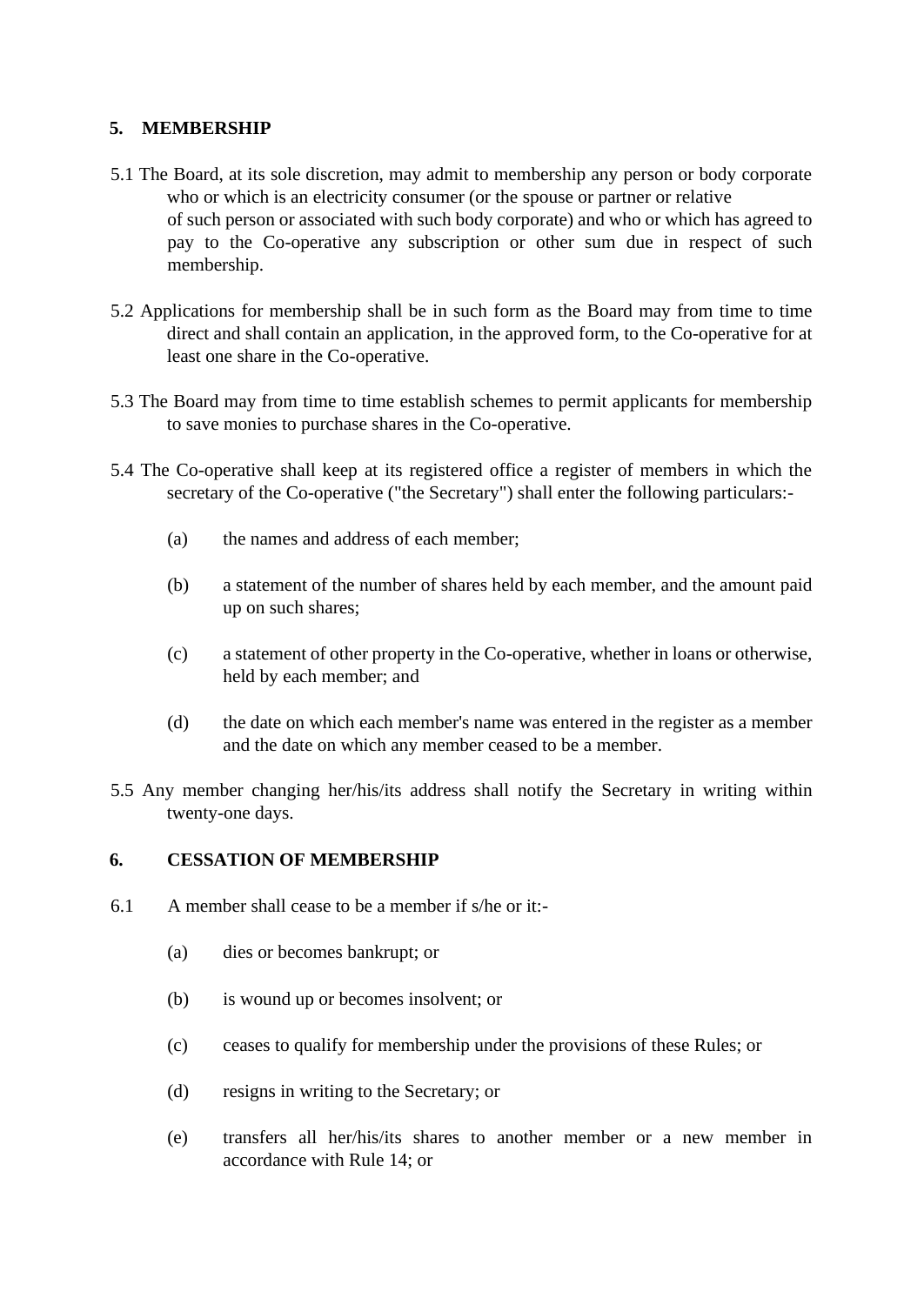## **5. MEMBERSHIP**

- 5.1 The Board, at its sole discretion, may admit to membership any person or body corporate who or which is an electricity consumer (or the spouse or partner or relative of such person or associated with such body corporate) and who or which has agreed to pay to the Co-operative any subscription or other sum due in respect of such membership.
- 5.2 Applications for membership shall be in such form as the Board may from time to time direct and shall contain an application, in the approved form, to the Co-operative for at least one share in the Co-operative.
- 5.3 The Board may from time to time establish schemes to permit applicants for membership to save monies to purchase shares in the Co-operative.
- 5.4 The Co-operative shall keep at its registered office a register of members in which the secretary of the Co-operative ("the Secretary") shall enter the following particulars:-
	- (a) the names and address of each member;
	- (b) a statement of the number of shares held by each member, and the amount paid up on such shares;
	- (c) a statement of other property in the Co-operative, whether in loans or otherwise, held by each member; and
	- (d) the date on which each member's name was entered in the register as a member and the date on which any member ceased to be a member.
- 5.5 Any member changing her/his/its address shall notify the Secretary in writing within twenty-one days.

#### **6. CESSATION OF MEMBERSHIP**

- 6.1 A member shall cease to be a member if s/he or it:-
	- (a) dies or becomes bankrupt; or
	- (b) is wound up or becomes insolvent; or
	- (c) ceases to qualify for membership under the provisions of these Rules; or
	- (d) resigns in writing to the Secretary; or
	- (e) transfers all her/his/its shares to another member or a new member in accordance with Rule 14; or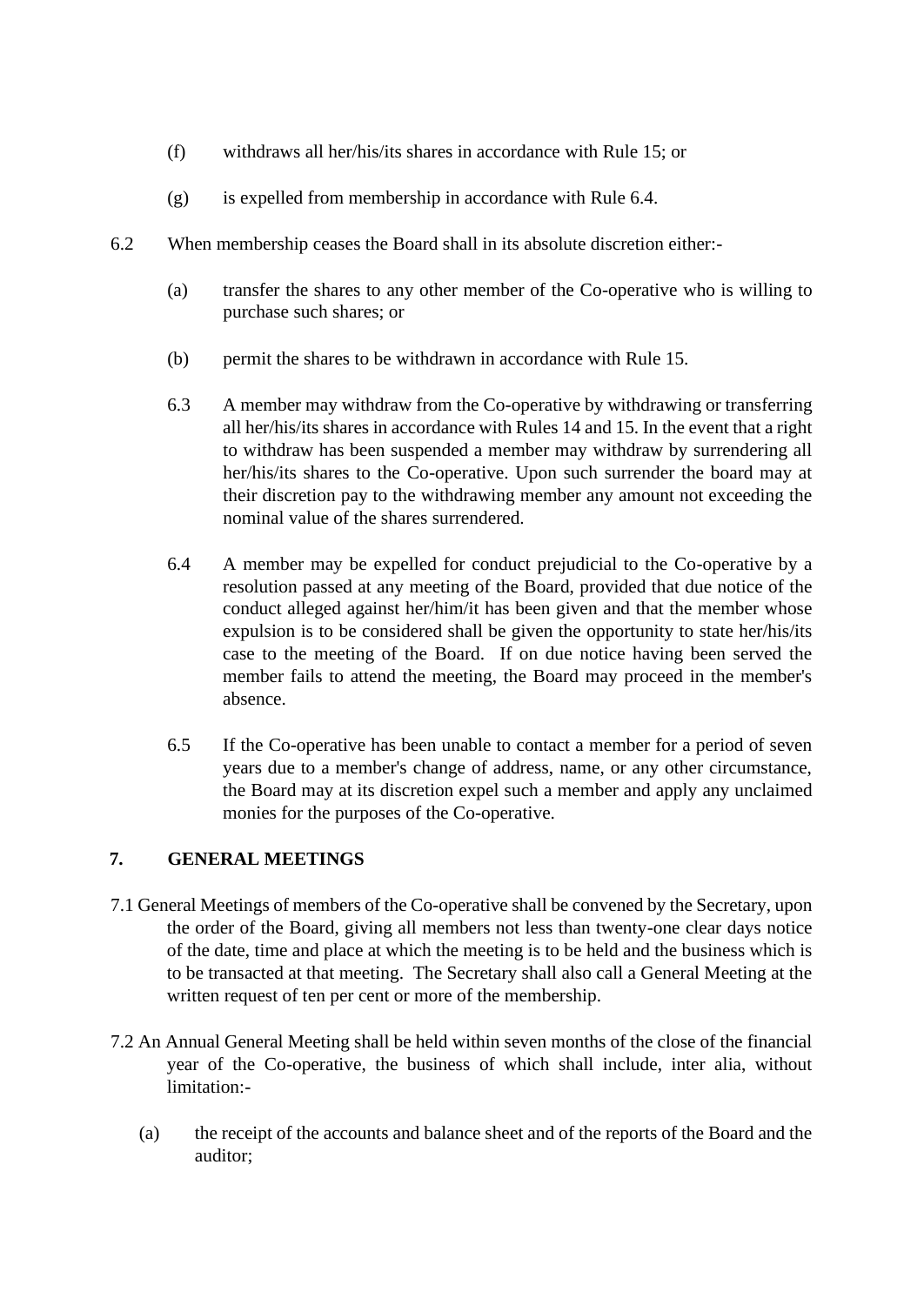- (f) withdraws all her/his/its shares in accordance with Rule 15; or
- $(g)$  is expelled from membership in accordance with Rule 6.4.
- 6.2 When membership ceases the Board shall in its absolute discretion either:-
	- (a) transfer the shares to any other member of the Co-operative who is willing to purchase such shares; or
	- (b) permit the shares to be withdrawn in accordance with Rule 15.
	- 6.3 A member may withdraw from the Co-operative by withdrawing or transferring all her/his/its shares in accordance with Rules 14 and 15. In the event that a right to withdraw has been suspended a member may withdraw by surrendering all her/his/its shares to the Co-operative. Upon such surrender the board may at their discretion pay to the withdrawing member any amount not exceeding the nominal value of the shares surrendered.
	- 6.4 A member may be expelled for conduct prejudicial to the Co-operative by a resolution passed at any meeting of the Board, provided that due notice of the conduct alleged against her/him/it has been given and that the member whose expulsion is to be considered shall be given the opportunity to state her/his/its case to the meeting of the Board. If on due notice having been served the member fails to attend the meeting, the Board may proceed in the member's absence.
	- 6.5 If the Co-operative has been unable to contact a member for a period of seven years due to a member's change of address, name, or any other circumstance, the Board may at its discretion expel such a member and apply any unclaimed monies for the purposes of the Co-operative.

### **7. GENERAL MEETINGS**

- 7.1 General Meetings of members of the Co-operative shall be convened by the Secretary, upon the order of the Board, giving all members not less than twenty-one clear days notice of the date, time and place at which the meeting is to be held and the business which is to be transacted at that meeting. The Secretary shall also call a General Meeting at the written request of ten per cent or more of the membership.
- 7.2 An Annual General Meeting shall be held within seven months of the close of the financial year of the Co-operative, the business of which shall include, inter alia, without limitation:-
	- (a) the receipt of the accounts and balance sheet and of the reports of the Board and the auditor;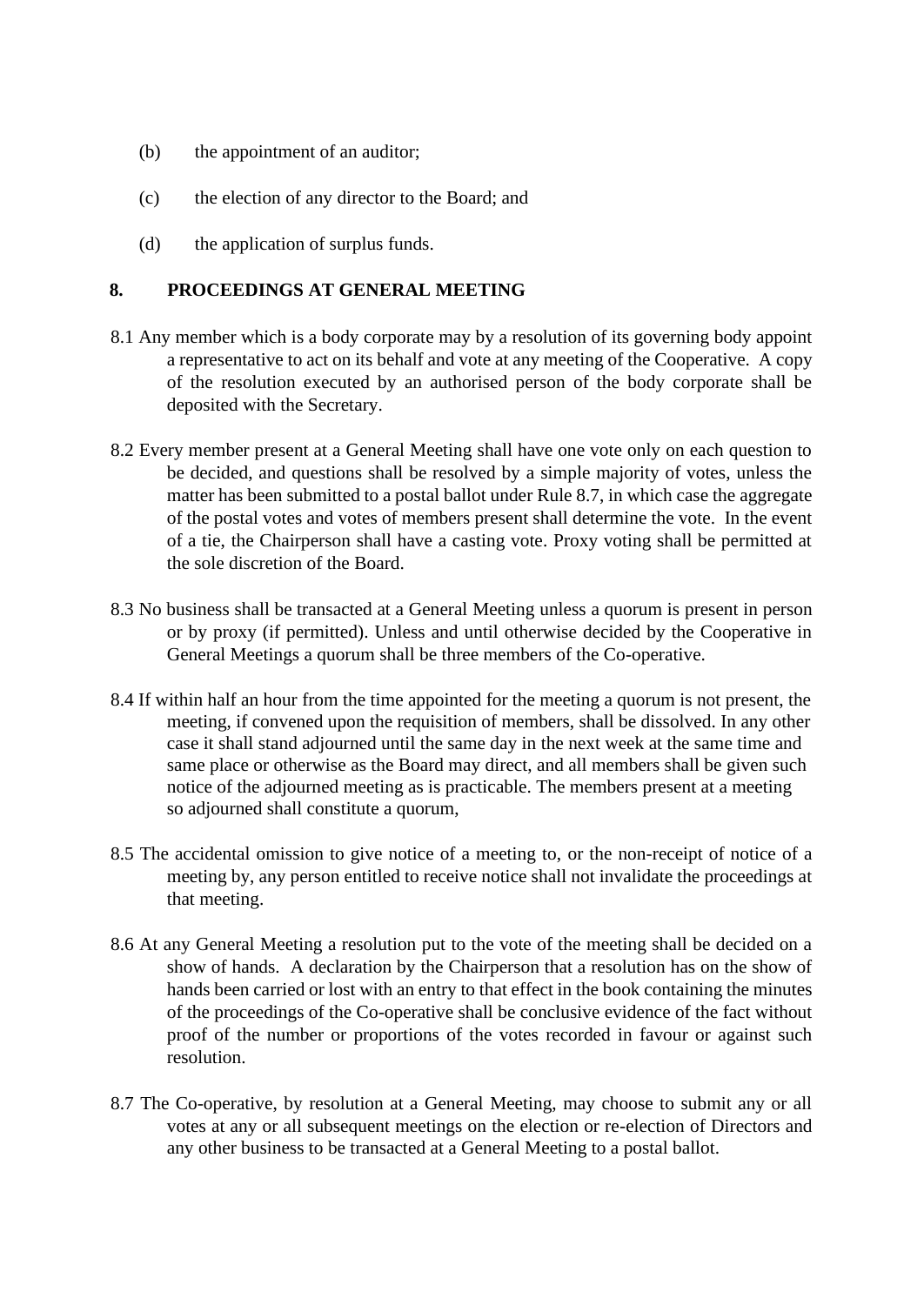- (b) the appointment of an auditor;
- (c) the election of any director to the Board; and
- (d) the application of surplus funds.

#### **8. PROCEEDINGS AT GENERAL MEETING**

- 8.1 Any member which is a body corporate may by a resolution of its governing body appoint a representative to act on its behalf and vote at any meeting of the Cooperative. A copy of the resolution executed by an authorised person of the body corporate shall be deposited with the Secretary.
- 8.2 Every member present at a General Meeting shall have one vote only on each question to be decided, and questions shall be resolved by a simple majority of votes, unless the matter has been submitted to a postal ballot under Rule 8.7, in which case the aggregate of the postal votes and votes of members present shall determine the vote. In the event of a tie, the Chairperson shall have a casting vote. Proxy voting shall be permitted at the sole discretion of the Board.
- 8.3 No business shall be transacted at a General Meeting unless a quorum is present in person or by proxy (if permitted). Unless and until otherwise decided by the Cooperative in General Meetings a quorum shall be three members of the Co-operative.
- 8.4 If within half an hour from the time appointed for the meeting a quorum is not present, the meeting, if convened upon the requisition of members, shall be dissolved. In any other case it shall stand adjourned until the same day in the next week at the same time and same place or otherwise as the Board may direct, and all members shall be given such notice of the adjourned meeting as is practicable. The members present at a meeting so adjourned shall constitute a quorum,
- 8.5 The accidental omission to give notice of a meeting to, or the non-receipt of notice of a meeting by, any person entitled to receive notice shall not invalidate the proceedings at that meeting.
- 8.6 At any General Meeting a resolution put to the vote of the meeting shall be decided on a show of hands. A declaration by the Chairperson that a resolution has on the show of hands been carried or lost with an entry to that effect in the book containing the minutes of the proceedings of the Co-operative shall be conclusive evidence of the fact without proof of the number or proportions of the votes recorded in favour or against such resolution.
- 8.7 The Co-operative, by resolution at a General Meeting, may choose to submit any or all votes at any or all subsequent meetings on the election or re-election of Directors and any other business to be transacted at a General Meeting to a postal ballot.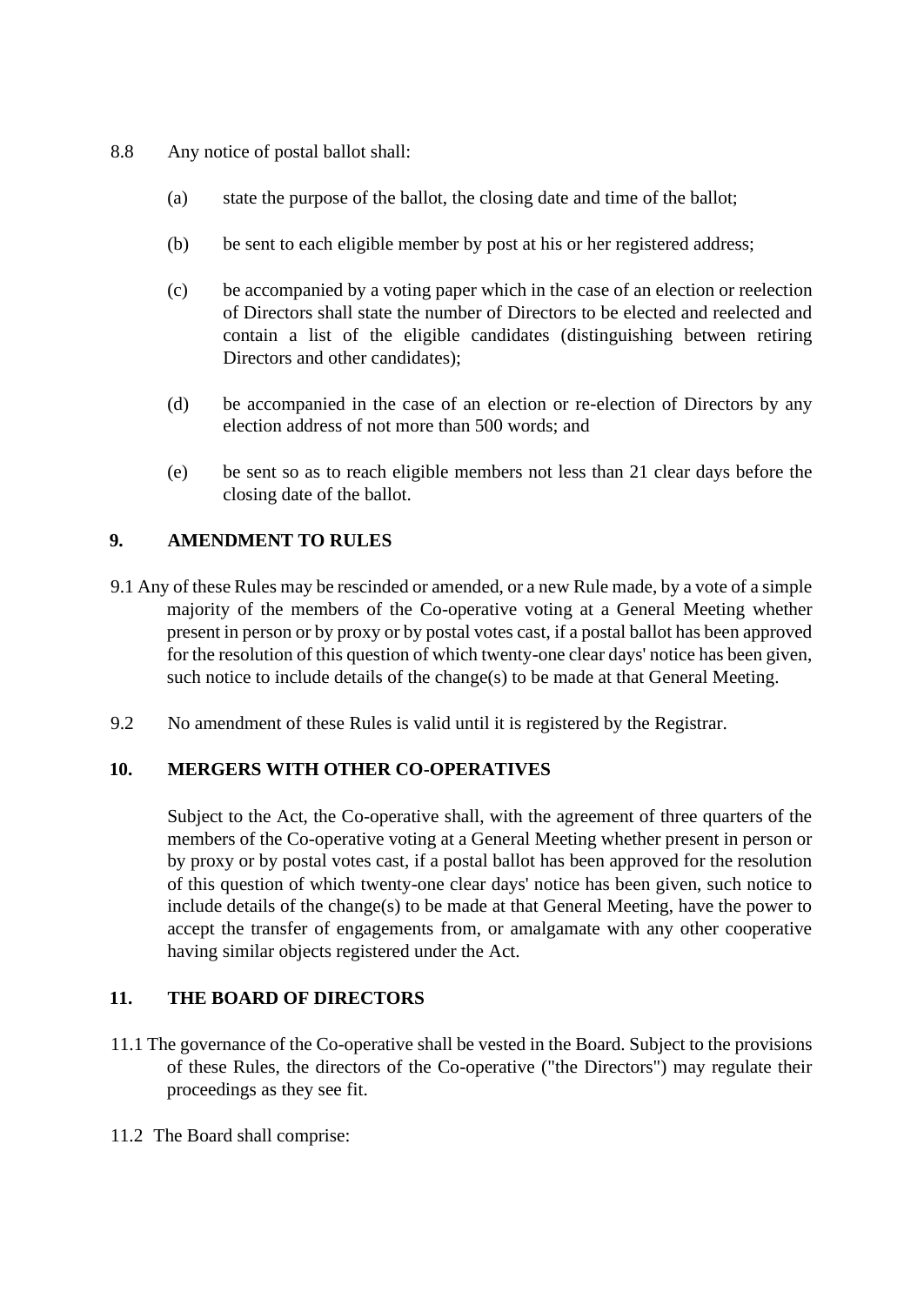- 8.8 Any notice of postal ballot shall:
	- (a) state the purpose of the ballot, the closing date and time of the ballot;
	- (b) be sent to each eligible member by post at his or her registered address;
	- (c) be accompanied by a voting paper which in the case of an election or reelection of Directors shall state the number of Directors to be elected and reelected and contain a list of the eligible candidates (distinguishing between retiring Directors and other candidates);
	- (d) be accompanied in the case of an election or re-election of Directors by any election address of not more than 500 words; and
	- (e) be sent so as to reach eligible members not less than 21 clear days before the closing date of the ballot.

### **9. AMENDMENT TO RULES**

- 9.1 Any of these Rules may be rescinded or amended, or a new Rule made, by a vote of a simple majority of the members of the Co-operative voting at a General Meeting whether present in person or by proxy or by postal votes cast, if a postal ballot has been approved for the resolution of this question of which twenty-one clear days' notice has been given, such notice to include details of the change(s) to be made at that General Meeting.
- 9.2 No amendment of these Rules is valid until it is registered by the Registrar.

### **10. MERGERS WITH OTHER CO-OPERATIVES**

Subject to the Act, the Co-operative shall, with the agreement of three quarters of the members of the Co-operative voting at a General Meeting whether present in person or by proxy or by postal votes cast, if a postal ballot has been approved for the resolution of this question of which twenty-one clear days' notice has been given, such notice to include details of the change(s) to be made at that General Meeting, have the power to accept the transfer of engagements from, or amalgamate with any other cooperative having similar objects registered under the Act.

# **11. THE BOARD OF DIRECTORS**

- 11.1 The governance of the Co-operative shall be vested in the Board. Subject to the provisions of these Rules, the directors of the Co-operative ("the Directors") may regulate their proceedings as they see fit.
- 11.2 The Board shall comprise: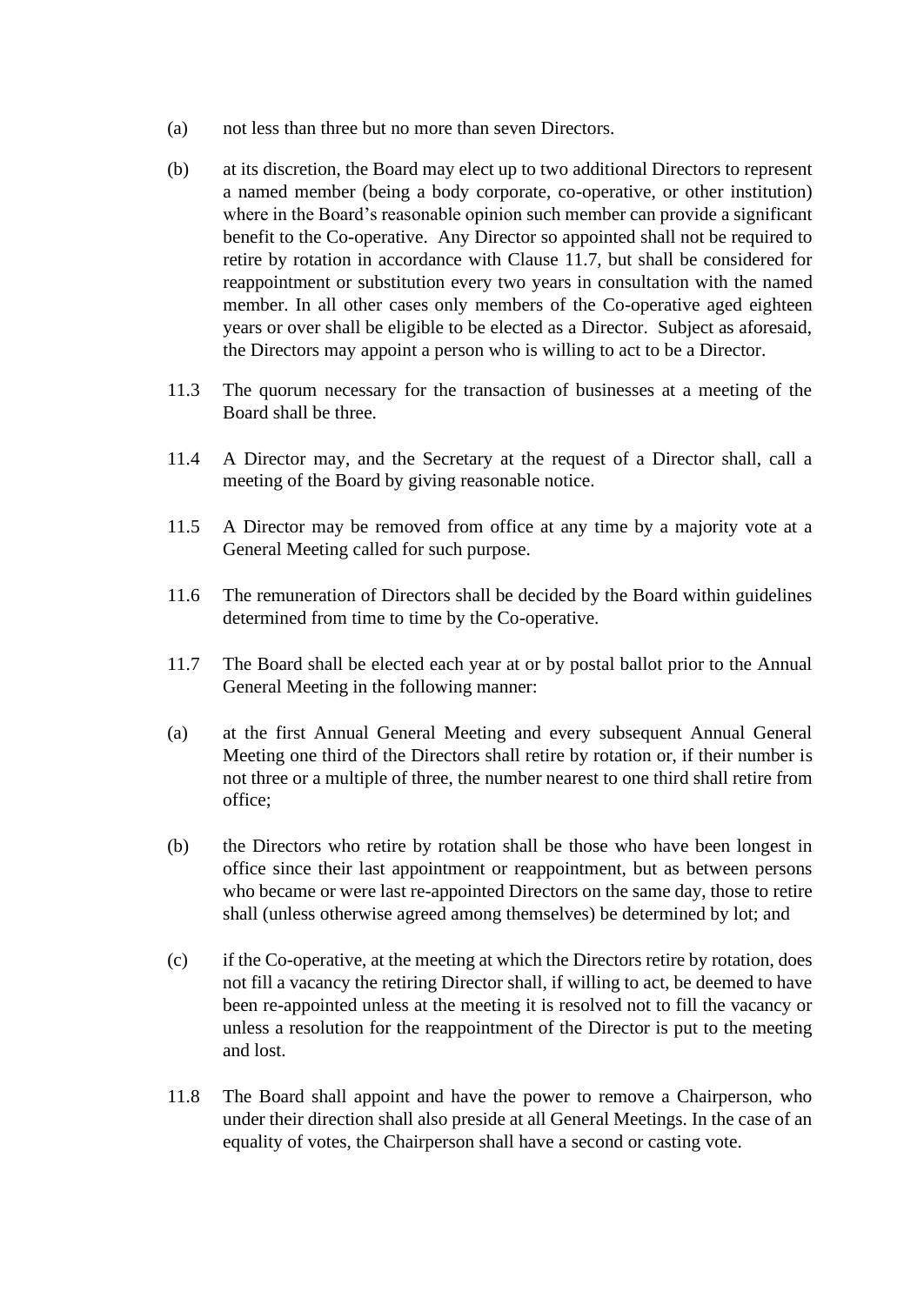- (a) not less than three but no more than seven Directors.
- (b) at its discretion, the Board may elect up to two additional Directors to represent a named member (being a body corporate, co-operative, or other institution) where in the Board's reasonable opinion such member can provide a significant benefit to the Co-operative. Any Director so appointed shall not be required to retire by rotation in accordance with Clause 11.7, but shall be considered for reappointment or substitution every two years in consultation with the named member. In all other cases only members of the Co-operative aged eighteen years or over shall be eligible to be elected as a Director. Subject as aforesaid, the Directors may appoint a person who is willing to act to be a Director.
- 11.3 The quorum necessary for the transaction of businesses at a meeting of the Board shall be three.
- 11.4 A Director may, and the Secretary at the request of a Director shall, call a meeting of the Board by giving reasonable notice.
- 11.5 A Director may be removed from office at any time by a majority vote at a General Meeting called for such purpose.
- 11.6 The remuneration of Directors shall be decided by the Board within guidelines determined from time to time by the Co-operative.
- 11.7 The Board shall be elected each year at or by postal ballot prior to the Annual General Meeting in the following manner:
- (a) at the first Annual General Meeting and every subsequent Annual General Meeting one third of the Directors shall retire by rotation or, if their number is not three or a multiple of three, the number nearest to one third shall retire from office;
- (b) the Directors who retire by rotation shall be those who have been longest in office since their last appointment or reappointment, but as between persons who became or were last re-appointed Directors on the same day, those to retire shall (unless otherwise agreed among themselves) be determined by lot; and
- (c) if the Co-operative, at the meeting at which the Directors retire by rotation, does not fill a vacancy the retiring Director shall, if willing to act, be deemed to have been re-appointed unless at the meeting it is resolved not to fill the vacancy or unless a resolution for the reappointment of the Director is put to the meeting and lost.
- 11.8 The Board shall appoint and have the power to remove a Chairperson, who under their direction shall also preside at all General Meetings. In the case of an equality of votes, the Chairperson shall have a second or casting vote.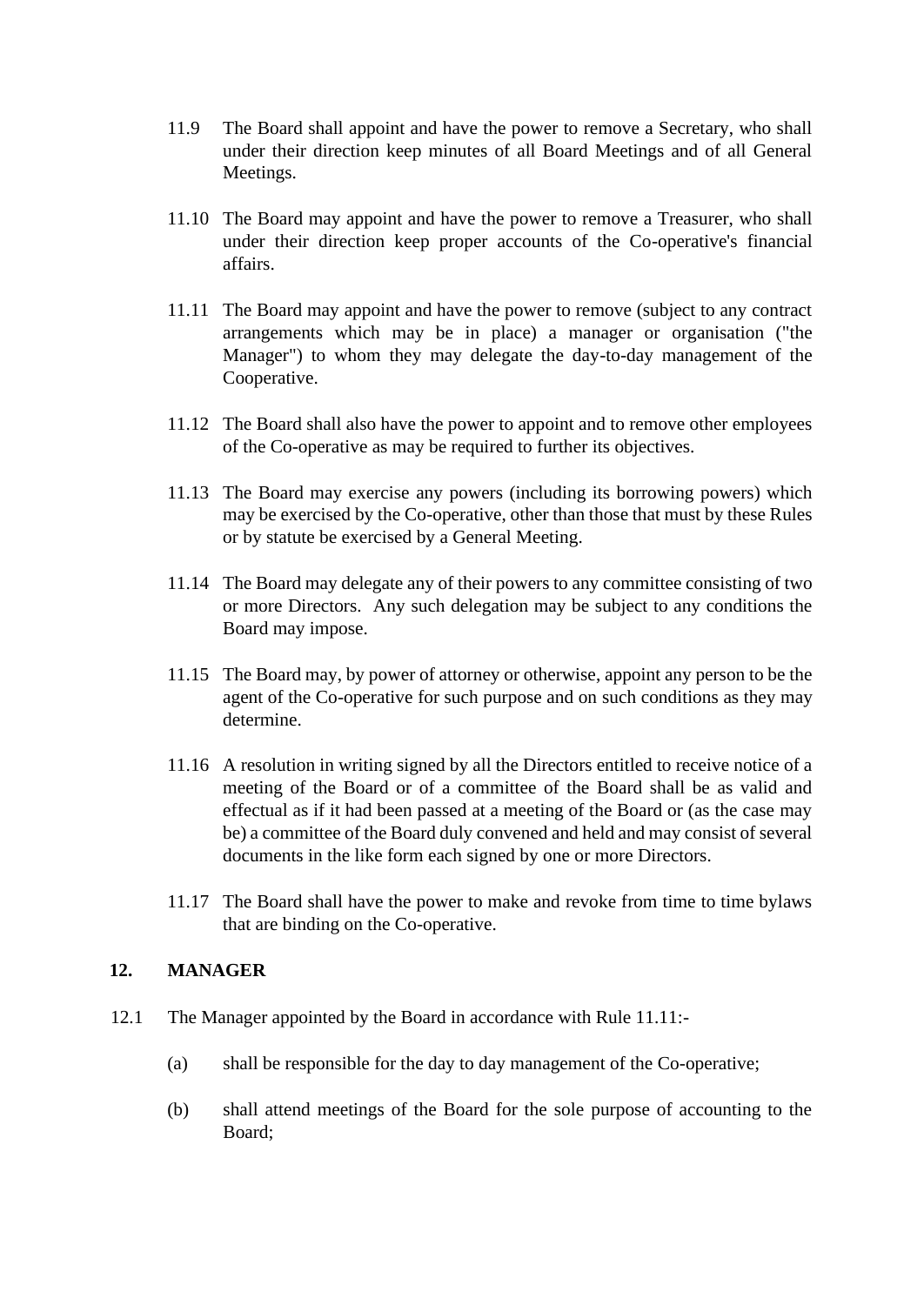- 11.9 The Board shall appoint and have the power to remove a Secretary, who shall under their direction keep minutes of all Board Meetings and of all General Meetings.
- 11.10 The Board may appoint and have the power to remove a Treasurer, who shall under their direction keep proper accounts of the Co-operative's financial affairs.
- 11.11 The Board may appoint and have the power to remove (subject to any contract arrangements which may be in place) a manager or organisation ("the Manager") to whom they may delegate the day-to-day management of the Cooperative.
- 11.12 The Board shall also have the power to appoint and to remove other employees of the Co-operative as may be required to further its objectives.
- 11.13 The Board may exercise any powers (including its borrowing powers) which may be exercised by the Co-operative, other than those that must by these Rules or by statute be exercised by a General Meeting.
- 11.14 The Board may delegate any of their powers to any committee consisting of two or more Directors. Any such delegation may be subject to any conditions the Board may impose.
- 11.15 The Board may, by power of attorney or otherwise, appoint any person to be the agent of the Co-operative for such purpose and on such conditions as they may determine.
- 11.16 A resolution in writing signed by all the Directors entitled to receive notice of a meeting of the Board or of a committee of the Board shall be as valid and effectual as if it had been passed at a meeting of the Board or (as the case may be) a committee of the Board duly convened and held and may consist of several documents in the like form each signed by one or more Directors.
- 11.17 The Board shall have the power to make and revoke from time to time bylaws that are binding on the Co-operative.

#### **12. MANAGER**

- 12.1 The Manager appointed by the Board in accordance with Rule 11.11:-
	- (a) shall be responsible for the day to day management of the Co-operative;
	- (b) shall attend meetings of the Board for the sole purpose of accounting to the Board;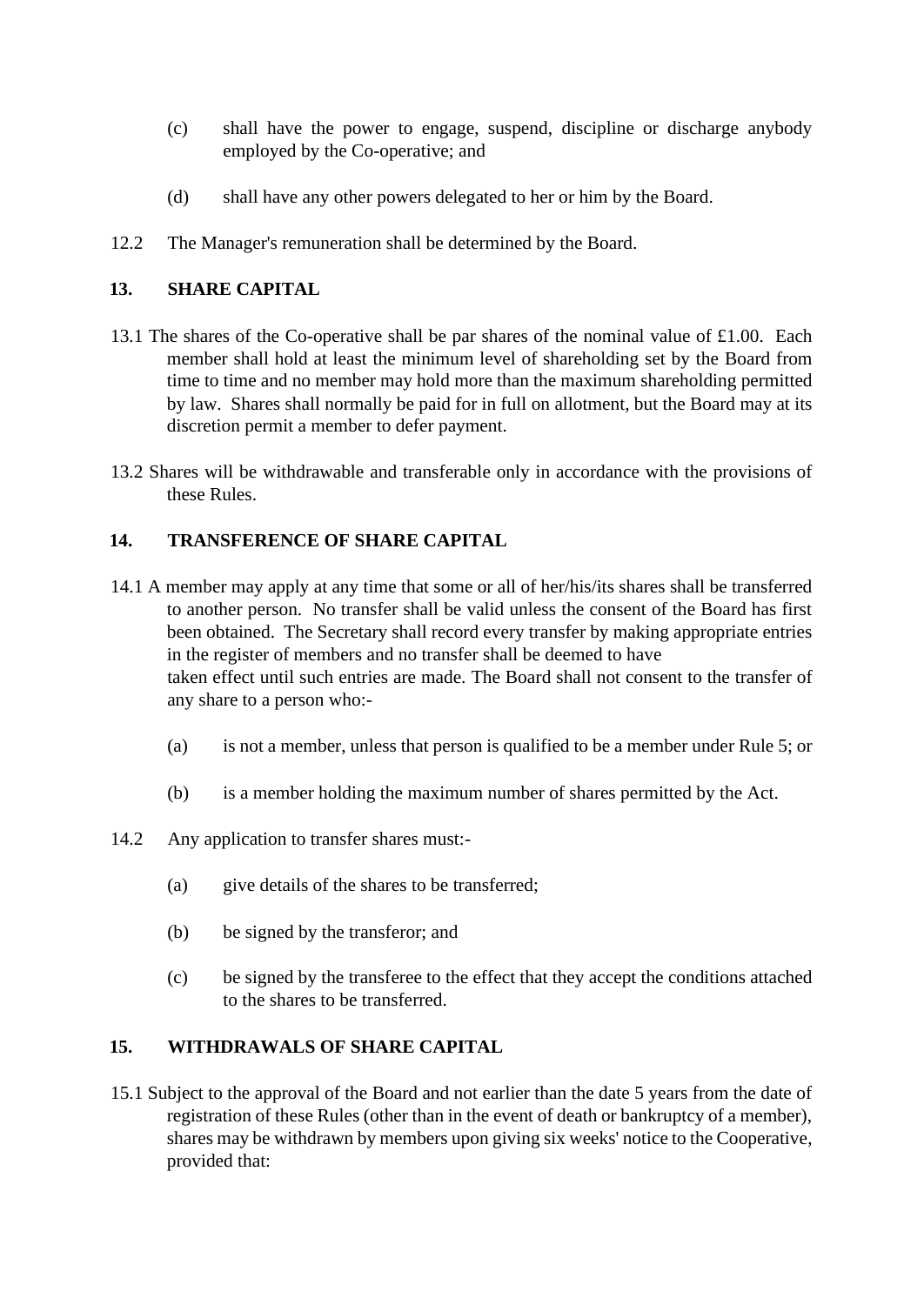- (c) shall have the power to engage, suspend, discipline or discharge anybody employed by the Co-operative; and
- (d) shall have any other powers delegated to her or him by the Board.
- 12.2 The Manager's remuneration shall be determined by the Board.

# **13. SHARE CAPITAL**

- 13.1 The shares of the Co-operative shall be par shares of the nominal value of £1.00. Each member shall hold at least the minimum level of shareholding set by the Board from time to time and no member may hold more than the maximum shareholding permitted by law. Shares shall normally be paid for in full on allotment, but the Board may at its discretion permit a member to defer payment.
- 13.2 Shares will be withdrawable and transferable only in accordance with the provisions of these Rules.

# **14. TRANSFERENCE OF SHARE CAPITAL**

- 14.1 A member may apply at any time that some or all of her/his/its shares shall be transferred to another person. No transfer shall be valid unless the consent of the Board has first been obtained. The Secretary shall record every transfer by making appropriate entries in the register of members and no transfer shall be deemed to have taken effect until such entries are made. The Board shall not consent to the transfer of any share to a person who:-
	- (a) is not a member, unless that person is qualified to be a member under Rule 5; or
	- (b) is a member holding the maximum number of shares permitted by the Act.
- 14.2 Any application to transfer shares must:-
	- (a) give details of the shares to be transferred;
	- (b) be signed by the transferor; and
	- (c) be signed by the transferee to the effect that they accept the conditions attached to the shares to be transferred.

# **15. WITHDRAWALS OF SHARE CAPITAL**

15.1 Subject to the approval of the Board and not earlier than the date 5 years from the date of registration of these Rules (other than in the event of death or bankruptcy of a member), shares may be withdrawn by members upon giving six weeks' notice to the Cooperative, provided that: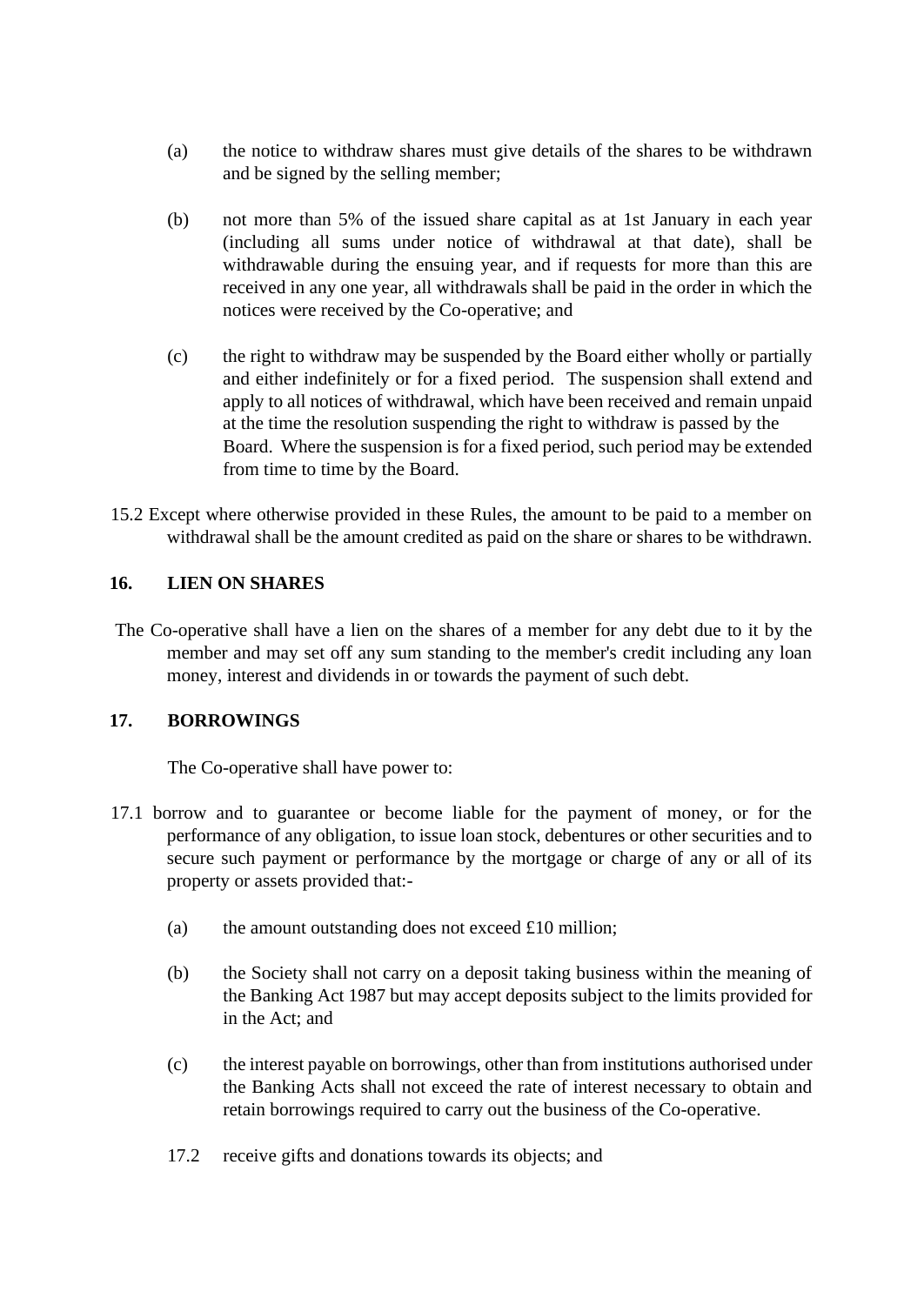- (a) the notice to withdraw shares must give details of the shares to be withdrawn and be signed by the selling member;
- (b) not more than 5% of the issued share capital as at 1st January in each year (including all sums under notice of withdrawal at that date), shall be withdrawable during the ensuing year, and if requests for more than this are received in any one year, all withdrawals shall be paid in the order in which the notices were received by the Co-operative; and
- (c) the right to withdraw may be suspended by the Board either wholly or partially and either indefinitely or for a fixed period. The suspension shall extend and apply to all notices of withdrawal, which have been received and remain unpaid at the time the resolution suspending the right to withdraw is passed by the Board. Where the suspension is for a fixed period, such period may be extended from time to time by the Board.
- 15.2 Except where otherwise provided in these Rules, the amount to be paid to a member on withdrawal shall be the amount credited as paid on the share or shares to be withdrawn.

## **16. LIEN ON SHARES**

The Co-operative shall have a lien on the shares of a member for any debt due to it by the member and may set off any sum standing to the member's credit including any loan money, interest and dividends in or towards the payment of such debt.

## **17. BORROWINGS**

The Co-operative shall have power to:

- 17.1 borrow and to guarantee or become liable for the payment of money, or for the performance of any obligation, to issue loan stock, debentures or other securities and to secure such payment or performance by the mortgage or charge of any or all of its property or assets provided that:-
	- (a) the amount outstanding does not exceed  $£10$  million;
	- (b) the Society shall not carry on a deposit taking business within the meaning of the Banking Act 1987 but may accept deposits subject to the limits provided for in the Act; and
	- (c) the interest payable on borrowings, other than from institutions authorised under the Banking Acts shall not exceed the rate of interest necessary to obtain and retain borrowings required to carry out the business of the Co-operative.
	- 17.2 receive gifts and donations towards its objects; and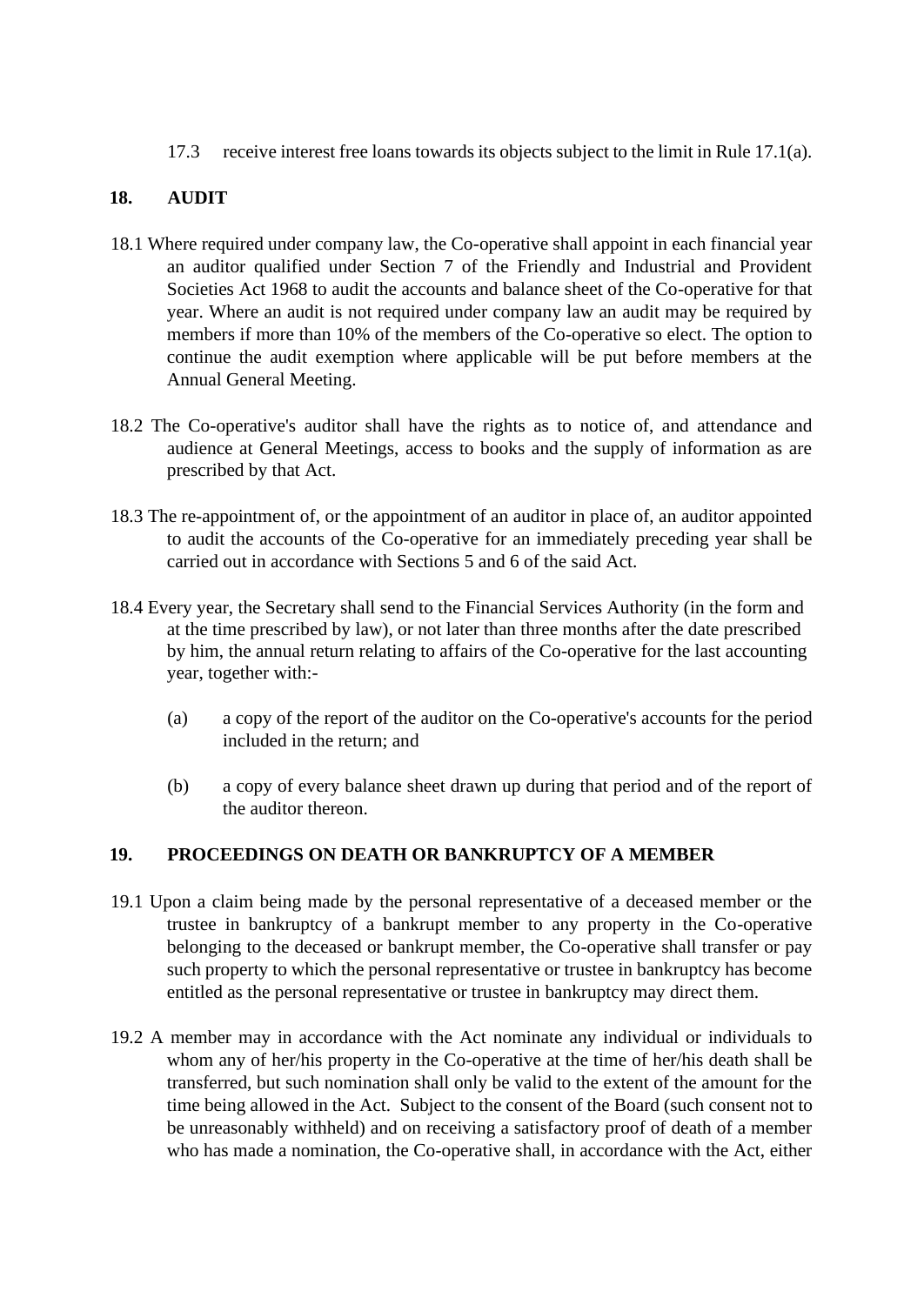17.3 receive interest free loans towards its objects subject to the limit in Rule 17.1(a).

## **18. AUDIT**

- 18.1 Where required under company law, the Co-operative shall appoint in each financial year an auditor qualified under Section 7 of the Friendly and Industrial and Provident Societies Act 1968 to audit the accounts and balance sheet of the Co-operative for that year. Where an audit is not required under company law an audit may be required by members if more than 10% of the members of the Co-operative so elect. The option to continue the audit exemption where applicable will be put before members at the Annual General Meeting.
- 18.2 The Co-operative's auditor shall have the rights as to notice of, and attendance and audience at General Meetings, access to books and the supply of information as are prescribed by that Act.
- 18.3 The re-appointment of, or the appointment of an auditor in place of, an auditor appointed to audit the accounts of the Co-operative for an immediately preceding year shall be carried out in accordance with Sections 5 and 6 of the said Act.
- 18.4 Every year, the Secretary shall send to the Financial Services Authority (in the form and at the time prescribed by law), or not later than three months after the date prescribed by him, the annual return relating to affairs of the Co-operative for the last accounting year, together with:-
	- (a) a copy of the report of the auditor on the Co-operative's accounts for the period included in the return; and
	- (b) a copy of every balance sheet drawn up during that period and of the report of the auditor thereon.

### **19. PROCEEDINGS ON DEATH OR BANKRUPTCY OF A MEMBER**

- 19.1 Upon a claim being made by the personal representative of a deceased member or the trustee in bankruptcy of a bankrupt member to any property in the Co-operative belonging to the deceased or bankrupt member, the Co-operative shall transfer or pay such property to which the personal representative or trustee in bankruptcy has become entitled as the personal representative or trustee in bankruptcy may direct them.
- 19.2 A member may in accordance with the Act nominate any individual or individuals to whom any of her/his property in the Co-operative at the time of her/his death shall be transferred, but such nomination shall only be valid to the extent of the amount for the time being allowed in the Act. Subject to the consent of the Board (such consent not to be unreasonably withheld) and on receiving a satisfactory proof of death of a member who has made a nomination, the Co-operative shall, in accordance with the Act, either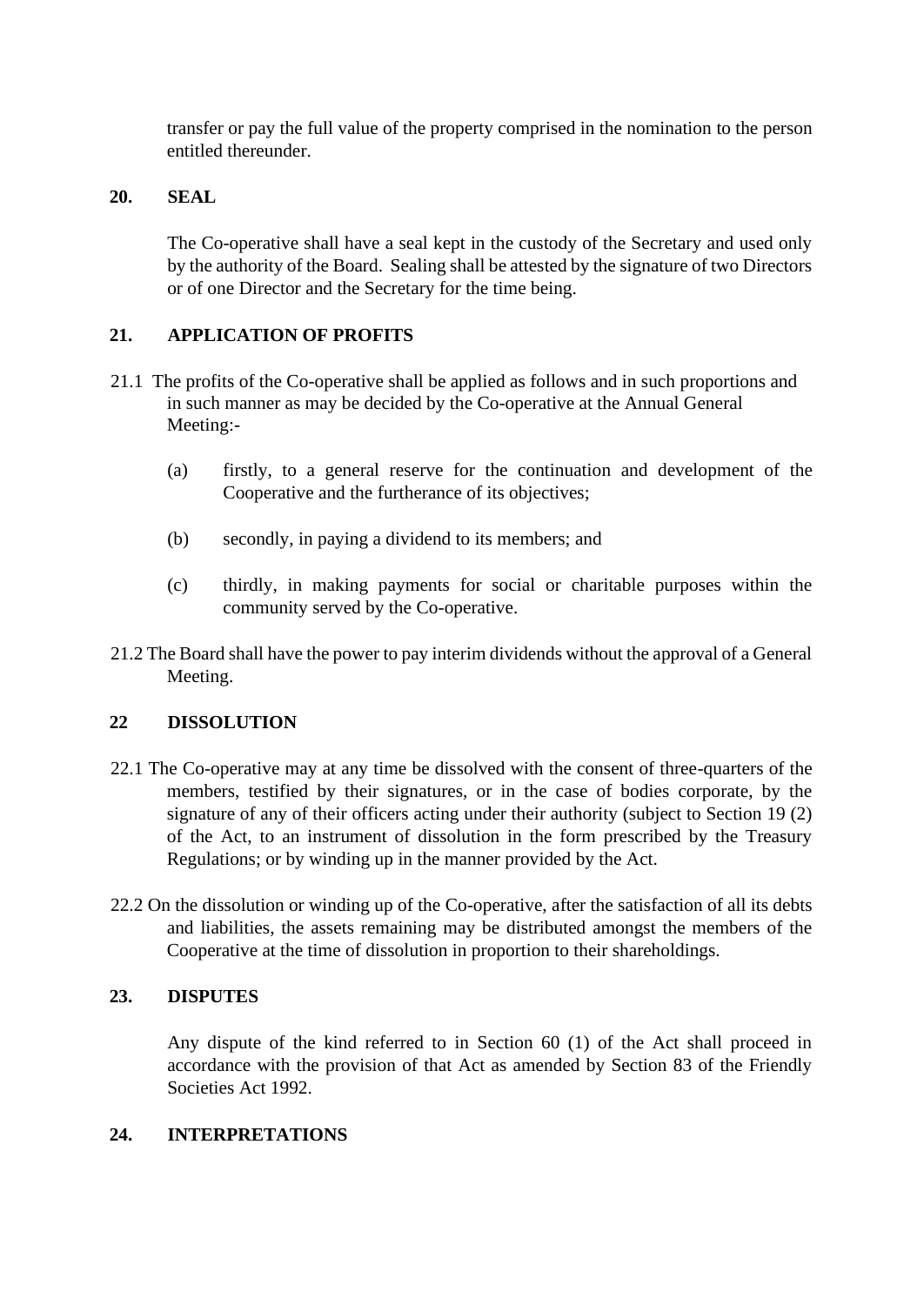transfer or pay the full value of the property comprised in the nomination to the person entitled thereunder.

#### **20. SEAL**

The Co-operative shall have a seal kept in the custody of the Secretary and used only by the authority of the Board. Sealing shall be attested by the signature of two Directors or of one Director and the Secretary for the time being.

### **21. APPLICATION OF PROFITS**

- 21.1 The profits of the Co-operative shall be applied as follows and in such proportions and in such manner as may be decided by the Co-operative at the Annual General Meeting:-
	- (a) firstly, to a general reserve for the continuation and development of the Cooperative and the furtherance of its objectives;
	- (b) secondly, in paying a dividend to its members; and
	- (c) thirdly, in making payments for social or charitable purposes within the community served by the Co-operative.
- 21.2 The Board shall have the power to pay interim dividends without the approval of a General Meeting.

### **22 DISSOLUTION**

- 22.1 The Co-operative may at any time be dissolved with the consent of three-quarters of the members, testified by their signatures, or in the case of bodies corporate, by the signature of any of their officers acting under their authority (subject to Section 19 (2) of the Act, to an instrument of dissolution in the form prescribed by the Treasury Regulations; or by winding up in the manner provided by the Act.
- 22.2 On the dissolution or winding up of the Co-operative, after the satisfaction of all its debts and liabilities, the assets remaining may be distributed amongst the members of the Cooperative at the time of dissolution in proportion to their shareholdings.

#### **23. DISPUTES**

Any dispute of the kind referred to in Section 60 (1) of the Act shall proceed in accordance with the provision of that Act as amended by Section 83 of the Friendly Societies Act 1992.

### **24. INTERPRETATIONS**